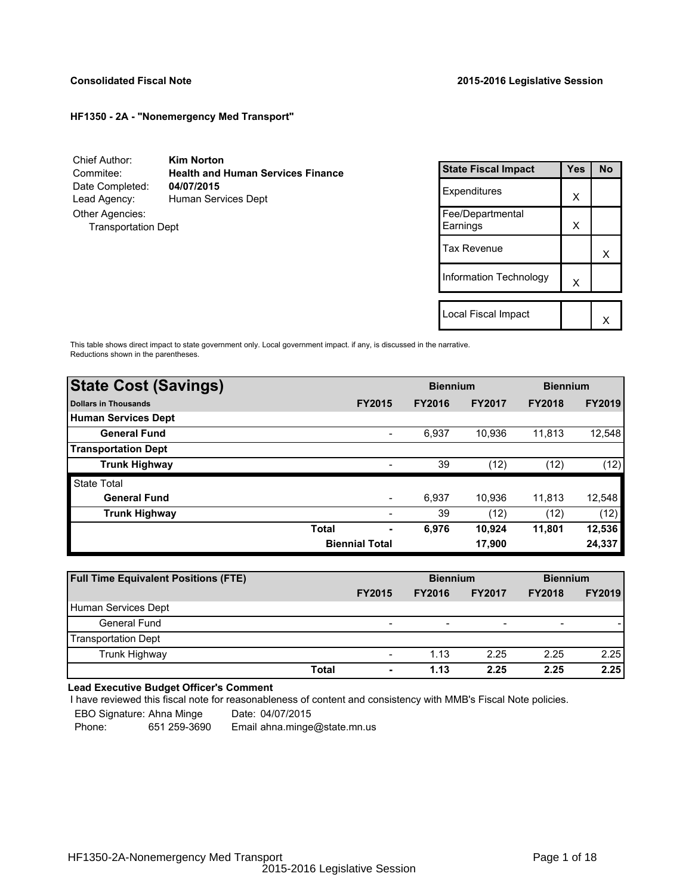## **HF1350 - 2A - "Nonemergency Med Transport"**

Chief Author: **Kim Norton** Commitee: **Health and Human Services Finance** Date Completed: Lead Agency: Human Services Dept Other Agencies: Transportation Dept

| <b>State Fiscal Impact</b>   | Yes | No |
|------------------------------|-----|----|
| Expenditures                 | x   |    |
| Fee/Departmental<br>Earnings | X   |    |
| Tax Revenue                  |     | x  |
| Information Technology       | X   |    |
|                              |     |    |
| Local Fiscal Impact          |     |    |

This table shows direct impact to state government only. Local government impact. if any, is discussed in the narrative. Reductions shown in the parentheses.

| <b>State Cost (Savings)</b> |                       |                          | <b>Biennium</b> |               | <b>Biennium</b> |               |
|-----------------------------|-----------------------|--------------------------|-----------------|---------------|-----------------|---------------|
| <b>Dollars in Thousands</b> |                       | <b>FY2015</b>            | <b>FY2016</b>   | <b>FY2017</b> | <b>FY2018</b>   | <b>FY2019</b> |
| <b>Human Services Dept</b>  |                       |                          |                 |               |                 |               |
| <b>General Fund</b>         |                       | $\overline{\phantom{a}}$ | 6,937           | 10,936        | 11,813          | 12,548        |
| <b>Transportation Dept</b>  |                       |                          |                 |               |                 |               |
| <b>Trunk Highway</b>        |                       |                          | 39              | (12)          | (12)            | (12)          |
| <b>State Total</b>          |                       |                          |                 |               |                 |               |
| <b>General Fund</b>         |                       |                          | 6.937           | 10.936        | 11.813          | 12,548        |
| <b>Trunk Highway</b>        |                       |                          | 39              | (12)          | (12)            | (12)          |
|                             | <b>Total</b>          | ۰                        | 6,976           | 10.924        | 11,801          | 12,536        |
|                             | <b>Biennial Total</b> |                          | 17,900          |               |                 | 24,337        |
|                             |                       |                          |                 |               |                 |               |

| <b>Full Time Equivalent Positions (FTE)</b> |                          | <b>Biennium</b> |                          | <b>Biennium</b> |               |
|---------------------------------------------|--------------------------|-----------------|--------------------------|-----------------|---------------|
|                                             | <b>FY2015</b>            | <b>FY2016</b>   | <b>FY2017</b>            | <b>FY2018</b>   | <b>FY2019</b> |
| Human Services Dept                         |                          |                 |                          |                 |               |
| General Fund                                | $\overline{\phantom{0}}$ | -               | $\overline{\phantom{a}}$ | ۰               |               |
| <b>Transportation Dept</b>                  |                          |                 |                          |                 |               |
| Trunk Highway                               | $\overline{\phantom{a}}$ | 1.13            | 2.25                     | 2.25            | 2.25          |
| <b>Total</b>                                | ۰                        | 1.13            | 2.25                     | 2.25            | 2.25          |

## **Lead Executive Budget Officer's Comment**

I have reviewed this fiscal note for reasonableness of content and consistency with MMB's Fiscal Note policies.

EBO Signature: Ahna Minge Date: 04/07/2015<br>Phone: 651 259-3690 Email ahna.minge

Phone: 651 259-3690 Email ahna.minge@state.mn.us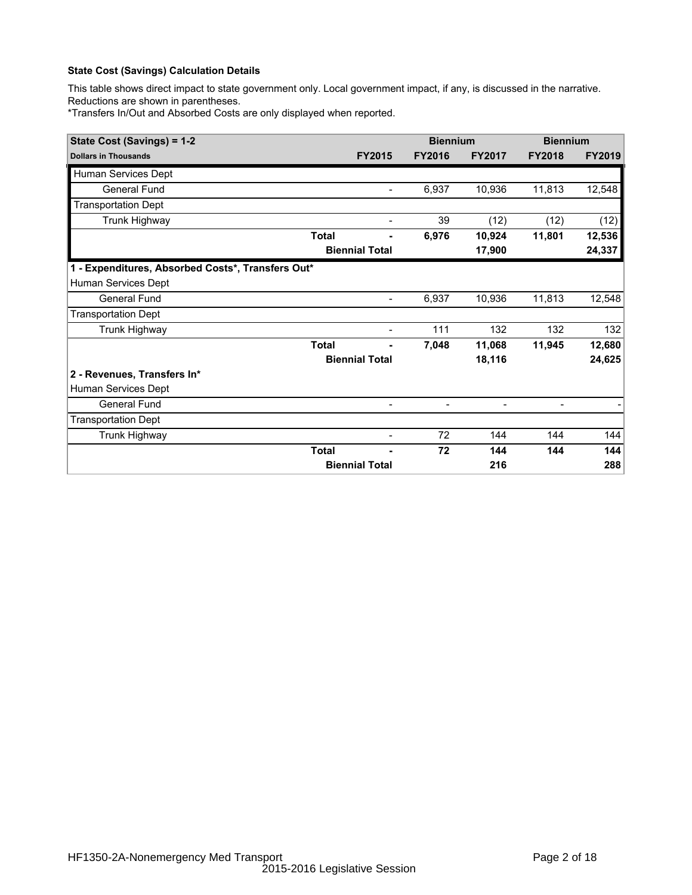## **State Cost (Savings) Calculation Details**

This table shows direct impact to state government only. Local government impact, if any, is discussed in the narrative. Reductions are shown in parentheses.

\*Transfers In/Out and Absorbed Costs are only displayed when reported.

| State Cost (Savings) = 1-2                        |              |                          | <b>Biennium</b>          |               | <b>Biennium</b> |               |
|---------------------------------------------------|--------------|--------------------------|--------------------------|---------------|-----------------|---------------|
| <b>Dollars in Thousands</b>                       |              | <b>FY2015</b>            | <b>FY2016</b>            | <b>FY2017</b> | <b>FY2018</b>   | <b>FY2019</b> |
| Human Services Dept                               |              |                          |                          |               |                 |               |
| <b>General Fund</b>                               |              | $\overline{\phantom{a}}$ | 6,937                    | 10,936        | 11,813          | 12,548        |
| <b>Transportation Dept</b>                        |              |                          |                          |               |                 |               |
| Trunk Highway                                     |              | $\overline{\phantom{a}}$ | 39                       | (12)          | (12)            | (12)          |
|                                                   | <b>Total</b> |                          | 6,976                    | 10,924        | 11,801          | 12,536        |
|                                                   |              | <b>Biennial Total</b>    |                          | 17,900        |                 | 24,337        |
| 1 - Expenditures, Absorbed Costs*, Transfers Out* |              |                          |                          |               |                 |               |
| Human Services Dept                               |              |                          |                          |               |                 |               |
| <b>General Fund</b>                               |              | $\overline{\phantom{a}}$ | 6,937                    | 10,936        | 11,813          | 12,548        |
| <b>Transportation Dept</b>                        |              |                          |                          |               |                 |               |
| Trunk Highway                                     |              |                          | 111                      | 132           | 132             | 132           |
|                                                   | <b>Total</b> |                          | 7,048                    | 11,068        | 11,945          | 12,680        |
|                                                   |              | <b>Biennial Total</b>    |                          | 18,116        |                 | 24,625        |
| 2 - Revenues, Transfers In*                       |              |                          |                          |               |                 |               |
| Human Services Dept                               |              |                          |                          |               |                 |               |
| General Fund                                      |              | $\overline{\phantom{a}}$ | $\overline{\phantom{a}}$ |               |                 |               |
| <b>Transportation Dept</b>                        |              |                          |                          |               |                 |               |
| Trunk Highway                                     |              | $\blacksquare$           | 72                       | 144           | 144             | 144           |
|                                                   | <b>Total</b> |                          | 72                       | 144           | 144             | 144           |
|                                                   |              | <b>Biennial Total</b>    |                          | 216           |                 | 288           |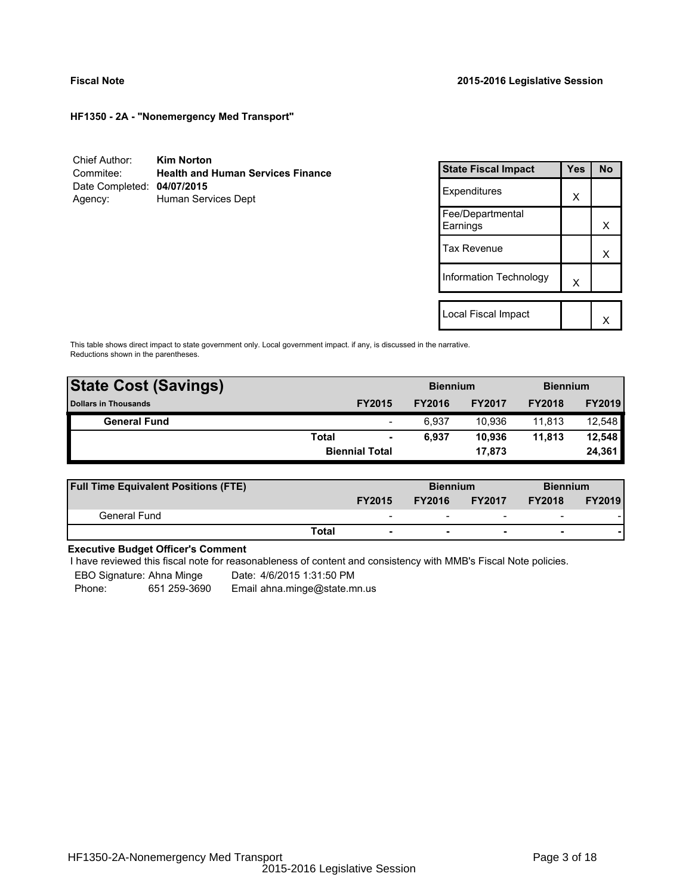**HF1350 - 2A - "Nonemergency Med Transport"**

| Chief Author:              | <b>Kim Norton</b>                        |
|----------------------------|------------------------------------------|
| Commitee:                  | <b>Health and Human Services Finance</b> |
| Date Completed: 04/07/2015 |                                          |
| Agency:                    | Human Services Dept                      |

| <b>State Fiscal Impact</b>   | Yes | No |
|------------------------------|-----|----|
| Expenditures                 | X   |    |
| Fee/Departmental<br>Earnings |     | x  |
| <b>Tax Revenue</b>           |     | x  |
| Information Technology       | X   |    |
|                              |     |    |
| Local Fiscal Impact          |     |    |

This table shows direct impact to state government only. Local government impact. if any, is discussed in the narrative. Reductions shown in the parentheses.

| <b>State Cost (Savings)</b> |              |                          | <b>Biennium</b> |               | <b>Biennium</b> |               |
|-----------------------------|--------------|--------------------------|-----------------|---------------|-----------------|---------------|
| <b>Dollars in Thousands</b> |              | <b>FY2015</b>            | <b>FY2016</b>   | <b>FY2017</b> | <b>FY2018</b>   | <b>FY2019</b> |
| <b>General Fund</b>         |              | $\overline{\phantom{a}}$ | 6.937           | 10.936        | 11.813          | 12,548        |
|                             | <b>Total</b> | $\blacksquare$           | 6.937           | 10.936        | 11.813          | 12,548        |
|                             |              | <b>Biennial Total</b>    |                 | 17.873        |                 | 24,361        |
|                             |              |                          |                 |               |                 |               |

| <b>Full Time Equivalent Positions (FTE)</b> |                          | <b>Biennium</b> |                          | <b>Biennium</b>          |               |
|---------------------------------------------|--------------------------|-----------------|--------------------------|--------------------------|---------------|
|                                             | <b>FY2015</b>            | <b>FY2016</b>   | <b>FY2017</b>            | <b>FY2018</b>            | <b>FY2019</b> |
| General Fund                                | $\overline{\phantom{0}}$ | -               | $\overline{\phantom{0}}$ | $\overline{\phantom{0}}$ |               |
|                                             | Total                    |                 |                          |                          |               |

## **Executive Budget Officer's Comment**

I have reviewed this fiscal note for reasonableness of content and consistency with MMB's Fiscal Note policies.

EBO Signature: Ahna Minge Date: 4/6/2015 1:31:50 PM

Phone: 651 259-3690 Email ahna.minge@state.mn.us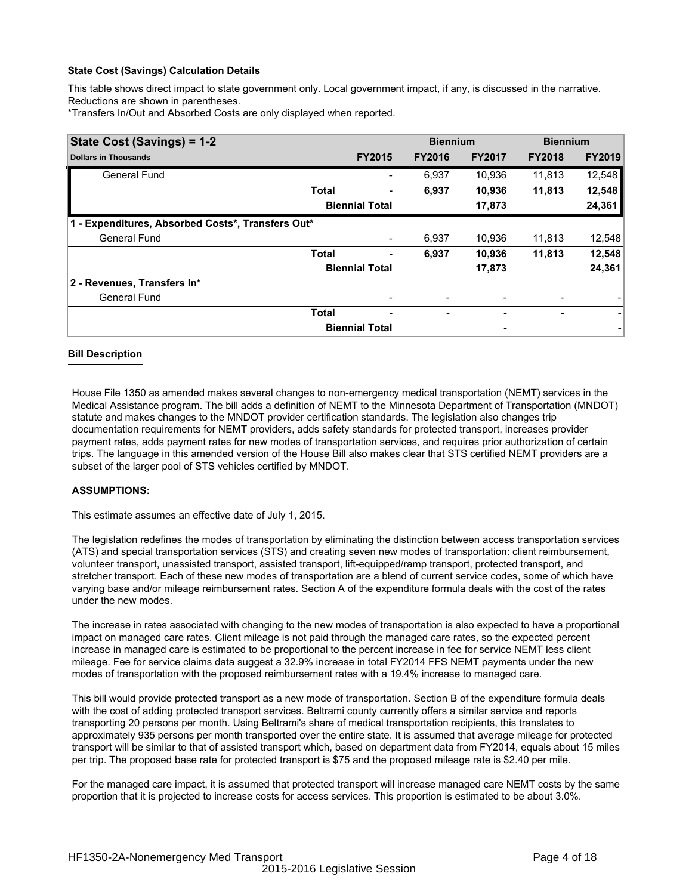## **State Cost (Savings) Calculation Details**

This table shows direct impact to state government only. Local government impact, if any, is discussed in the narrative. Reductions are shown in parentheses.

\*Transfers In/Out and Absorbed Costs are only displayed when reported.

| State Cost (Savings) = 1-2                        |              | <b>Biennium</b>       |               | <b>Biennium</b> |               |               |
|---------------------------------------------------|--------------|-----------------------|---------------|-----------------|---------------|---------------|
| <b>Dollars in Thousands</b>                       |              | <b>FY2015</b>         | <b>FY2016</b> | <b>FY2017</b>   | <b>FY2018</b> | <b>FY2019</b> |
| <b>General Fund</b>                               |              |                       | 6,937         | 10.936          | 11.813        | 12,548        |
|                                                   | <b>Total</b> |                       | 6,937         | 10,936          | 11,813        | 12,548        |
|                                                   |              | <b>Biennial Total</b> |               | 17,873          |               | 24,361        |
| 1 - Expenditures, Absorbed Costs*, Transfers Out* |              |                       |               |                 |               |               |
| <b>General Fund</b>                               |              |                       | 6,937         | 10.936          | 11,813        | 12,548        |
|                                                   | <b>Total</b> | ۰                     | 6,937         | 10,936          | 11,813        | 12,548        |
|                                                   |              | <b>Biennial Total</b> |               | 17,873          |               | 24,361        |
| 2 - Revenues, Transfers In*                       |              |                       |               |                 |               |               |
| <b>General Fund</b>                               |              |                       |               |                 |               |               |
|                                                   | <b>Total</b> | ۰                     | ٠             | ٠               | ۰             |               |
|                                                   |              | <b>Biennial Total</b> |               |                 |               |               |

## **Bill Description**

House File 1350 as amended makes several changes to non-emergency medical transportation (NEMT) services in the Medical Assistance program. The bill adds a definition of NEMT to the Minnesota Department of Transportation (MNDOT) statute and makes changes to the MNDOT provider certification standards. The legislation also changes trip documentation requirements for NEMT providers, adds safety standards for protected transport, increases provider payment rates, adds payment rates for new modes of transportation services, and requires prior authorization of certain trips. The language in this amended version of the House Bill also makes clear that STS certified NEMT providers are a subset of the larger pool of STS vehicles certified by MNDOT.

## **ASSUMPTIONS:**

This estimate assumes an effective date of July 1, 2015.

The legislation redefines the modes of transportation by eliminating the distinction between access transportation services (ATS) and special transportation services (STS) and creating seven new modes of transportation: client reimbursement, volunteer transport, unassisted transport, assisted transport, lift-equipped/ramp transport, protected transport, and stretcher transport. Each of these new modes of transportation are a blend of current service codes, some of which have varying base and/or mileage reimbursement rates. Section A of the expenditure formula deals with the cost of the rates under the new modes.

The increase in rates associated with changing to the new modes of transportation is also expected to have a proportional impact on managed care rates. Client mileage is not paid through the managed care rates, so the expected percent increase in managed care is estimated to be proportional to the percent increase in fee for service NEMT less client mileage. Fee for service claims data suggest a 32.9% increase in total FY2014 FFS NEMT payments under the new modes of transportation with the proposed reimbursement rates with a 19.4% increase to managed care.

This bill would provide protected transport as a new mode of transportation. Section B of the expenditure formula deals with the cost of adding protected transport services. Beltrami county currently offers a similar service and reports transporting 20 persons per month. Using Beltrami's share of medical transportation recipients, this translates to approximately 935 persons per month transported over the entire state. It is assumed that average mileage for protected transport will be similar to that of assisted transport which, based on department data from FY2014, equals about 15 miles per trip. The proposed base rate for protected transport is \$75 and the proposed mileage rate is \$2.40 per mile.

For the managed care impact, it is assumed that protected transport will increase managed care NEMT costs by the same proportion that it is projected to increase costs for access services. This proportion is estimated to be about 3.0%.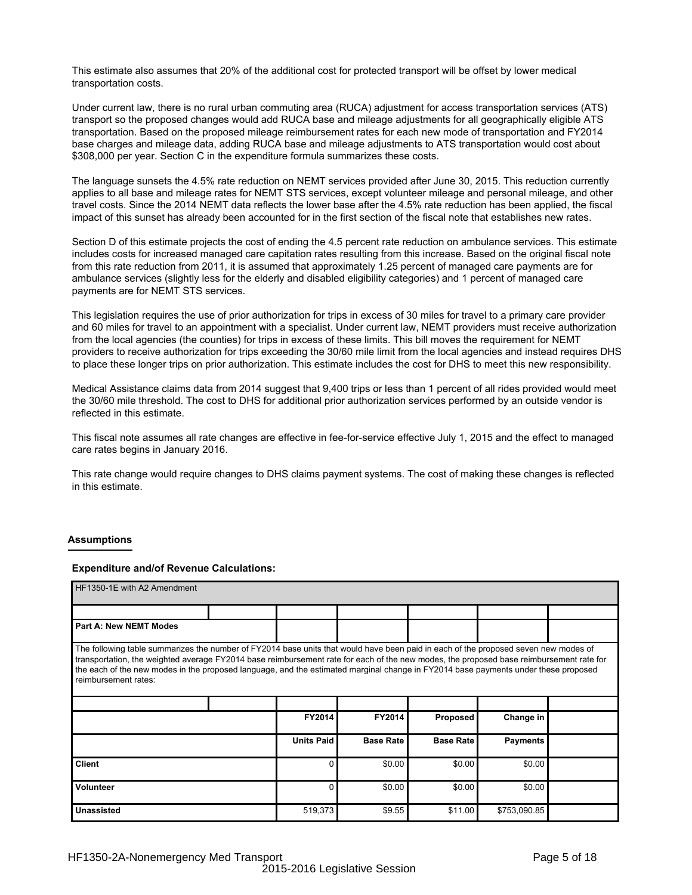This estimate also assumes that 20% of the additional cost for protected transport will be offset by lower medical transportation costs.

Under current law, there is no rural urban commuting area (RUCA) adjustment for access transportation services (ATS) transport so the proposed changes would add RUCA base and mileage adjustments for all geographically eligible ATS transportation. Based on the proposed mileage reimbursement rates for each new mode of transportation and FY2014 base charges and mileage data, adding RUCA base and mileage adjustments to ATS transportation would cost about \$308,000 per year. Section C in the expenditure formula summarizes these costs.

The language sunsets the 4.5% rate reduction on NEMT services provided after June 30, 2015. This reduction currently applies to all base and mileage rates for NEMT STS services, except volunteer mileage and personal mileage, and other travel costs. Since the 2014 NEMT data reflects the lower base after the 4.5% rate reduction has been applied, the fiscal impact of this sunset has already been accounted for in the first section of the fiscal note that establishes new rates.

Section D of this estimate projects the cost of ending the 4.5 percent rate reduction on ambulance services. This estimate includes costs for increased managed care capitation rates resulting from this increase. Based on the original fiscal note from this rate reduction from 2011, it is assumed that approximately 1.25 percent of managed care payments are for ambulance services (slightly less for the elderly and disabled eligibility categories) and 1 percent of managed care payments are for NEMT STS services.

This legislation requires the use of prior authorization for trips in excess of 30 miles for travel to a primary care provider and 60 miles for travel to an appointment with a specialist. Under current law, NEMT providers must receive authorization from the local agencies (the counties) for trips in excess of these limits. This bill moves the requirement for NEMT providers to receive authorization for trips exceeding the 30/60 mile limit from the local agencies and instead requires DHS to place these longer trips on prior authorization. This estimate includes the cost for DHS to meet this new responsibility.

Medical Assistance claims data from 2014 suggest that 9,400 trips or less than 1 percent of all rides provided would meet the 30/60 mile threshold. The cost to DHS for additional prior authorization services performed by an outside vendor is reflected in this estimate.

This fiscal note assumes all rate changes are effective in fee-for-service effective July 1, 2015 and the effect to managed care rates begins in January 2016.

This rate change would require changes to DHS claims payment systems. The cost of making these changes is reflected in this estimate.

#### **Assumptions**

#### **Expenditure and/of Revenue Calculations:**

| HF1350-1E with A2 Amendment                                                                                                                                                                                                                                                                                                                                                                                                                  |  |                   |                  |                  |                 |  |  |  |  |
|----------------------------------------------------------------------------------------------------------------------------------------------------------------------------------------------------------------------------------------------------------------------------------------------------------------------------------------------------------------------------------------------------------------------------------------------|--|-------------------|------------------|------------------|-----------------|--|--|--|--|
|                                                                                                                                                                                                                                                                                                                                                                                                                                              |  |                   |                  |                  |                 |  |  |  |  |
| <b>Part A: New NEMT Modes</b>                                                                                                                                                                                                                                                                                                                                                                                                                |  |                   |                  |                  |                 |  |  |  |  |
| The following table summarizes the number of FY2014 base units that would have been paid in each of the proposed seven new modes of<br>transportation, the weighted average FY2014 base reimbursement rate for each of the new modes, the proposed base reimbursement rate for<br>the each of the new modes in the proposed language, and the estimated marginal change in FY2014 base payments under these proposed<br>reimbursement rates: |  |                   |                  |                  |                 |  |  |  |  |
|                                                                                                                                                                                                                                                                                                                                                                                                                                              |  |                   |                  |                  |                 |  |  |  |  |
|                                                                                                                                                                                                                                                                                                                                                                                                                                              |  | FY2014            | FY2014           | Proposed         | Change in       |  |  |  |  |
|                                                                                                                                                                                                                                                                                                                                                                                                                                              |  | <b>Units Paid</b> | <b>Base Rate</b> | <b>Base Rate</b> | <b>Payments</b> |  |  |  |  |
| <b>Client</b>                                                                                                                                                                                                                                                                                                                                                                                                                                |  |                   | \$0.00           | \$0.00           | \$0.00          |  |  |  |  |
| Volunteer                                                                                                                                                                                                                                                                                                                                                                                                                                    |  | 0                 | \$0.00           | \$0.00           | \$0.00          |  |  |  |  |
| <b>Unassisted</b>                                                                                                                                                                                                                                                                                                                                                                                                                            |  | 519,373           | \$9.55           | \$11.00          | \$753,090.85    |  |  |  |  |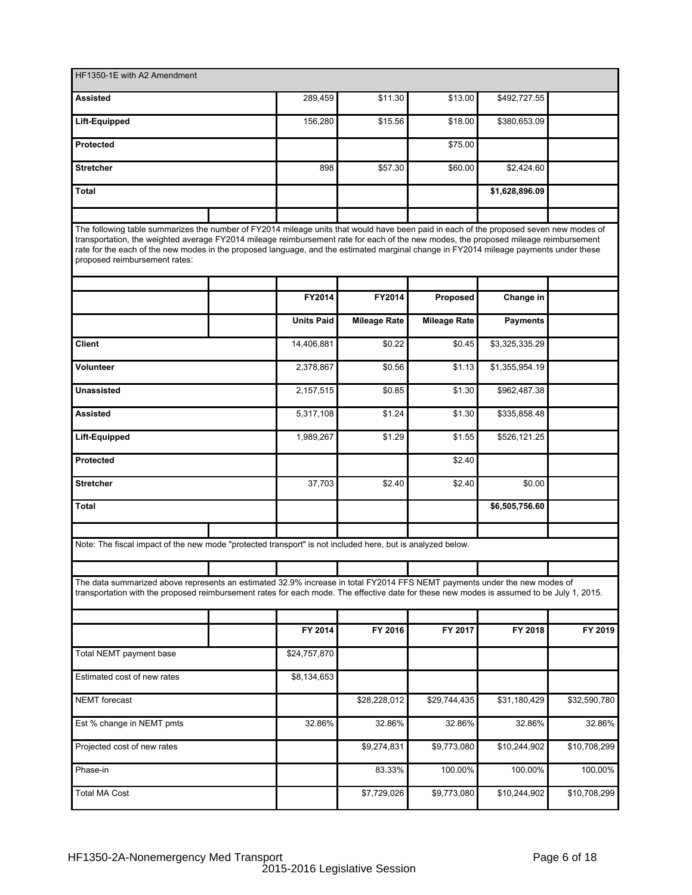| HF1350-1E with A2 Amendment                                                                                                                                                                                                                                                                                                                                                                                                                              |  |                        |                     |                     |                 |                          |
|----------------------------------------------------------------------------------------------------------------------------------------------------------------------------------------------------------------------------------------------------------------------------------------------------------------------------------------------------------------------------------------------------------------------------------------------------------|--|------------------------|---------------------|---------------------|-----------------|--------------------------|
| Assisted                                                                                                                                                                                                                                                                                                                                                                                                                                                 |  | 289,459                | \$11.30             | \$13.00             | \$492,727.55    |                          |
| Lift-Equipped                                                                                                                                                                                                                                                                                                                                                                                                                                            |  | 156,280                | \$15.56             | \$18.00             | \$380,653.09    |                          |
| <b>Protected</b>                                                                                                                                                                                                                                                                                                                                                                                                                                         |  |                        |                     | \$75.00             |                 |                          |
| <b>Stretcher</b>                                                                                                                                                                                                                                                                                                                                                                                                                                         |  | 898                    | \$57.30             | \$60.00             | \$2,424.60      |                          |
| Total                                                                                                                                                                                                                                                                                                                                                                                                                                                    |  |                        |                     |                     | \$1,628,896.09  |                          |
|                                                                                                                                                                                                                                                                                                                                                                                                                                                          |  |                        |                     |                     |                 |                          |
| The following table summarizes the number of FY2014 mileage units that would have been paid in each of the proposed seven new modes of<br>transportation, the weighted average FY2014 mileage reimbursement rate for each of the new modes, the proposed mileage reimbursement<br>rate for the each of the new modes in the proposed language, and the estimated marginal change in FY2014 mileage payments under these<br>proposed reimbursement rates: |  |                        |                     |                     |                 |                          |
|                                                                                                                                                                                                                                                                                                                                                                                                                                                          |  |                        |                     |                     |                 |                          |
|                                                                                                                                                                                                                                                                                                                                                                                                                                                          |  | FY2014                 | FY2014              | Proposed            | Change in       |                          |
|                                                                                                                                                                                                                                                                                                                                                                                                                                                          |  | <b>Units Paid</b>      | <b>Mileage Rate</b> | <b>Mileage Rate</b> | <b>Payments</b> |                          |
| <b>Client</b>                                                                                                                                                                                                                                                                                                                                                                                                                                            |  | 14,406,881             | \$0.22              | \$0.45              | \$3,325,335.29  |                          |
| Volunteer                                                                                                                                                                                                                                                                                                                                                                                                                                                |  | 2,378,867              | \$0.56              | \$1.13              | \$1,355,954.19  |                          |
| <b>Unassisted</b>                                                                                                                                                                                                                                                                                                                                                                                                                                        |  | 2,157,515              | \$0.85              | \$1.30              | \$962,487.38    |                          |
| <b>Assisted</b>                                                                                                                                                                                                                                                                                                                                                                                                                                          |  | $\overline{5,317,108}$ | \$1.24              | \$1.30              | \$335,858.48    |                          |
| Lift-Equipped                                                                                                                                                                                                                                                                                                                                                                                                                                            |  | 1,989,267              | \$1.29              | \$1.55              | \$526,121.25    |                          |
| <b>Protected</b>                                                                                                                                                                                                                                                                                                                                                                                                                                         |  |                        |                     | \$2.40              |                 |                          |
| <b>Stretcher</b>                                                                                                                                                                                                                                                                                                                                                                                                                                         |  | 37,703                 | \$2.40              | \$2.40              | \$0.00          |                          |
| Total                                                                                                                                                                                                                                                                                                                                                                                                                                                    |  |                        |                     |                     | \$6,505,756.60  |                          |
|                                                                                                                                                                                                                                                                                                                                                                                                                                                          |  |                        |                     |                     |                 |                          |
| Note: The fiscal impact of the new mode "protected transport" is not included here, but is analyzed below.                                                                                                                                                                                                                                                                                                                                               |  |                        |                     |                     |                 |                          |
|                                                                                                                                                                                                                                                                                                                                                                                                                                                          |  |                        |                     |                     |                 |                          |
| The data summarized above represents an estimated 32.9% increase in total FY2014 FFS NEMT payments under the new modes of<br>transportation with the proposed reimbursement rates for each mode. The effective date for these new modes is assumed to be July 1, 2015.                                                                                                                                                                                   |  |                        |                     |                     |                 |                          |
|                                                                                                                                                                                                                                                                                                                                                                                                                                                          |  |                        |                     |                     |                 |                          |
|                                                                                                                                                                                                                                                                                                                                                                                                                                                          |  | FY 2014                | FY 2016             | FY 2017             | FY 2018         | FY 2019                  |
| Total NEMT payment base                                                                                                                                                                                                                                                                                                                                                                                                                                  |  | \$24,757,870           |                     |                     |                 |                          |
| Estimated cost of new rates                                                                                                                                                                                                                                                                                                                                                                                                                              |  | \$8,134,653            |                     |                     |                 |                          |
| <b>NEMT</b> forecast                                                                                                                                                                                                                                                                                                                                                                                                                                     |  |                        | \$28,228,012        | \$29,744,435        | \$31,180,429    | \$32,590,780             |
| Est % change in NEMT pmts                                                                                                                                                                                                                                                                                                                                                                                                                                |  | 32.86%                 | 32.86%              | 32.86%              | 32.86%          | 32.86%                   |
| Projected cost of new rates                                                                                                                                                                                                                                                                                                                                                                                                                              |  |                        | \$9,274,831         | \$9,773,080         | \$10,244,902    | \$10,708,299             |
| Phase-in                                                                                                                                                                                                                                                                                                                                                                                                                                                 |  |                        | 83.33%              | 100.00%             | 100.00%         | 100.00%                  |
| <b>Total MA Cost</b>                                                                                                                                                                                                                                                                                                                                                                                                                                     |  |                        | \$7,729,026         | \$9,773,080         | \$10,244,902    | $\overline{$10,708,299}$ |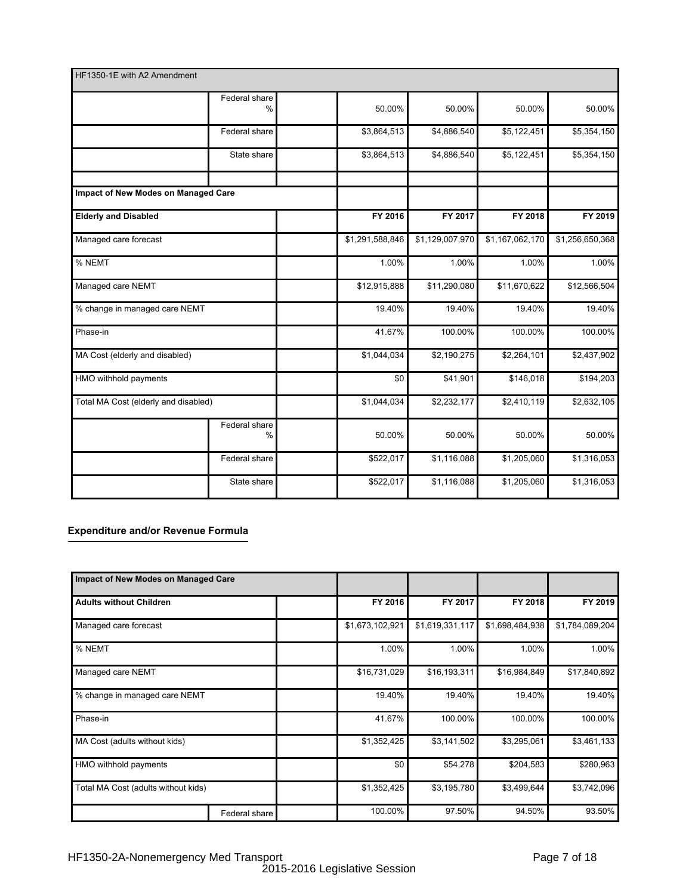| HF1350-1E with A2 Amendment          |                 |                 |                 |                 |
|--------------------------------------|-----------------|-----------------|-----------------|-----------------|
| Federal share<br>$\%$                | 50.00%          | 50.00%          | 50.00%          | 50.00%          |
| Federal share                        | \$3,864,513     | \$4,886,540     | \$5,122,451     | \$5,354,150     |
| State share                          | \$3,864,513     | \$4,886,540     | \$5,122,451     | \$5,354,150     |
| Impact of New Modes on Managed Care  |                 |                 |                 |                 |
| <b>Elderly and Disabled</b>          | FY 2016         | FY 2017         | FY 2018         | FY 2019         |
| Managed care forecast                | \$1,291,588,846 | \$1,129,007,970 | \$1,167,062,170 | \$1,256,650,368 |
| % NEMT                               | 1.00%           | 1.00%           | 1.00%           | 1.00%           |
| Managed care NEMT                    | \$12,915,888    | \$11,290,080    | \$11,670,622    | \$12,566,504    |
| % change in managed care NEMT        | 19.40%          | 19.40%          | 19.40%          | 19.40%          |
| Phase-in                             | 41.67%          | 100.00%         | 100.00%         | 100.00%         |
| MA Cost (elderly and disabled)       | \$1,044,034     | \$2,190,275     | \$2,264,101     | \$2,437,902     |
| HMO withhold payments                | \$0             | \$41,901        | \$146,018       | \$194,203       |
| Total MA Cost (elderly and disabled) | \$1,044,034     | \$2,232,177     | \$2,410,119     | \$2,632,105     |
| Federal share<br>$\frac{0}{0}$       | 50.00%          | 50.00%          | 50.00%          | 50.00%          |
| Federal share                        | \$522,017       | \$1,116,088     | \$1,205,060     | \$1,316,053     |
| State share                          | \$522,017       | \$1,116,088     | \$1,205,060     | \$1,316,053     |

# **Expenditure and/or Revenue Formula**

| Impact of New Modes on Managed Care |               |                 |                 |                 |                 |
|-------------------------------------|---------------|-----------------|-----------------|-----------------|-----------------|
| <b>Adults without Children</b>      |               | FY 2016         | FY 2017         | FY 2018         | FY 2019         |
| Managed care forecast               |               | \$1,673,102,921 | \$1,619,331,117 | \$1,698,484,938 | \$1,784,089,204 |
| % NEMT                              |               | 1.00%           | 1.00%           | 1.00%           | 1.00%           |
| Managed care NEMT                   |               | \$16,731,029    | \$16,193,311    | \$16,984,849    | \$17,840,892    |
| % change in managed care NEMT       |               | 19.40%          | 19.40%          | 19.40%          | 19.40%          |
| Phase-in                            |               | 41.67%          | 100.00%         | 100.00%         | 100.00%         |
| MA Cost (adults without kids)       |               | \$1,352,425     | \$3,141,502     | \$3,295,061     | \$3,461,133     |
| HMO withhold payments               |               | \$0             | \$54,278        | \$204,583       | \$280,963       |
| Total MA Cost (adults without kids) |               | \$1,352,425     | \$3,195,780     | \$3,499,644     | \$3,742,096     |
|                                     | Federal share | 100.00%         | 97.50%          | 94.50%          | 93.50%          |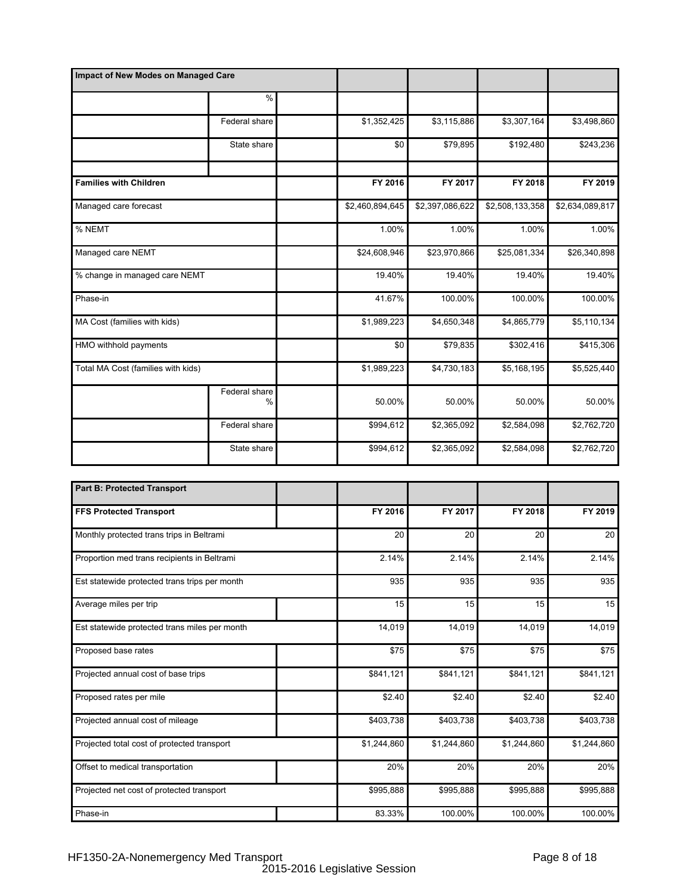| Impact of New Modes on Managed Care |                       |                         |                 |                 |                         |
|-------------------------------------|-----------------------|-------------------------|-----------------|-----------------|-------------------------|
|                                     | %                     |                         |                 |                 |                         |
|                                     | Federal share         | \$1,352,425             | \$3,115,886     | \$3,307,164     | \$3,498,860             |
|                                     | State share           | \$0                     | \$79,895        | \$192,480       | \$243,236               |
|                                     |                       |                         |                 |                 |                         |
| <b>Families with Children</b>       |                       | FY 2016                 | FY 2017         | FY 2018         | FY 2019                 |
| Managed care forecast               |                       | \$2,460,894,645         | \$2,397,086,622 | \$2,508,133,358 | \$2,634,089,817         |
| % NEMT                              |                       | 1.00%                   | 1.00%           | 1.00%           | 1.00%                   |
| Managed care NEMT                   |                       | \$24,608,946            | \$23,970,866    | \$25,081,334    | \$26,340,898            |
| % change in managed care NEMT       |                       | 19.40%                  | 19.40%          | 19.40%          | 19.40%                  |
| Phase-in                            |                       | 41.67%                  | 100.00%         | 100.00%         | 100.00%                 |
| MA Cost (families with kids)        |                       | $\overline{$}1,989,223$ | \$4,650,348     | \$4,865,779     | $\overline{$5,110,134}$ |
| HMO withhold payments               |                       | \$0                     | \$79,835        | \$302,416       | \$415,306               |
| Total MA Cost (families with kids)  |                       | \$1,989,223             | \$4,730,183     | \$5,168,195     | \$5,525,440             |
|                                     | Federal share<br>$\%$ | 50.00%                  | 50.00%          | 50.00%          | 50.00%                  |
|                                     | Federal share         | \$994,612               | \$2,365,092     | \$2,584,098     | \$2,762,720             |
|                                     | State share           | \$994,612               | \$2,365,092     | \$2,584,098     | \$2,762,720             |

| <b>Part B: Protected Transport</b>            |             |             |             |             |
|-----------------------------------------------|-------------|-------------|-------------|-------------|
| <b>FFS Protected Transport</b>                | FY 2016     | FY 2017     | FY 2018     | FY 2019     |
| Monthly protected trans trips in Beltrami     | 20          | 20          | 20          | 20          |
| Proportion med trans recipients in Beltrami   | 2.14%       | 2.14%       | 2.14%       | 2.14%       |
| Est statewide protected trans trips per month | 935         | 935         | 935         | 935         |
| Average miles per trip                        | 15          | 15          | 15          | 15          |
| Est statewide protected trans miles per month | 14,019      | 14,019      | 14,019      | 14,019      |
| Proposed base rates                           | \$75        | \$75        | \$75        | \$75        |
| Projected annual cost of base trips           | \$841,121   | \$841,121   | \$841,121   | \$841,121   |
| Proposed rates per mile                       | \$2.40      | \$2.40      | \$2.40      | \$2.40      |
| Projected annual cost of mileage              | \$403,738   | \$403,738   | \$403,738   | \$403,738   |
| Projected total cost of protected transport   | \$1,244,860 | \$1,244,860 | \$1,244,860 | \$1,244,860 |
| Offset to medical transportation              | 20%         | 20%         | 20%         | 20%         |
| Projected net cost of protected transport     | \$995,888   | \$995,888   | \$995,888   | \$995,888   |
| Phase-in                                      | 83.33%      | 100.00%     | 100.00%     | 100.00%     |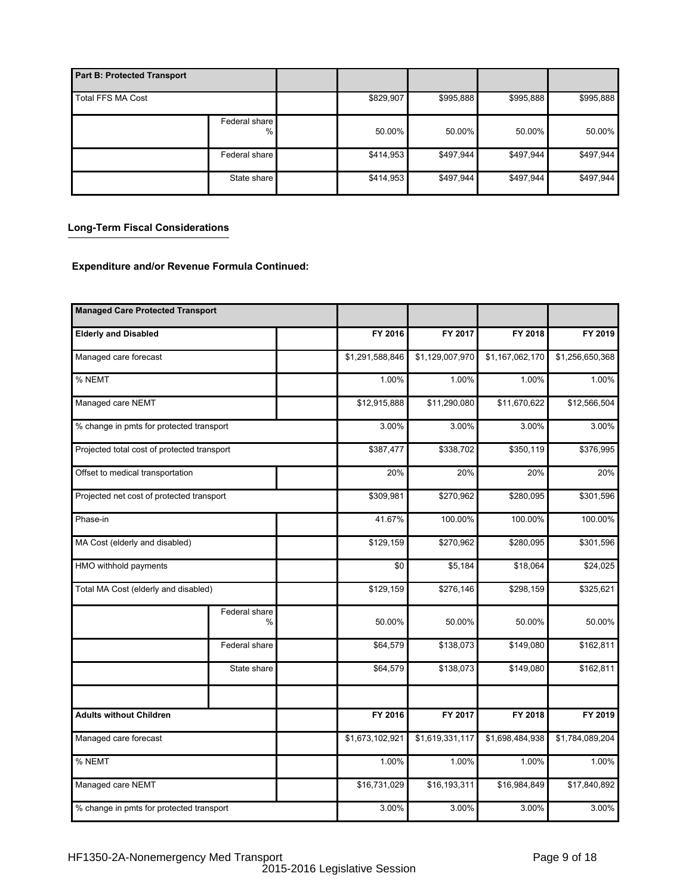| <b>Part B: Protected Transport</b> |                       |           |           |           |           |
|------------------------------------|-----------------------|-----------|-----------|-----------|-----------|
| <b>Total FFS MA Cost</b>           |                       | \$829,907 | \$995,888 | \$995,888 | \$995,888 |
|                                    | Federal share<br>$\%$ | 50.00%    | $50.00\%$ | 50.00%    | 50.00%    |
|                                    | Federal share         | \$414,953 | \$497,944 | \$497,944 | \$497,944 |
|                                    | State share           | \$414,953 | \$497,944 | \$497,944 | \$497,944 |

# **Long-Term Fiscal Considerations**

## **Expenditure and/or Revenue Formula Continued:**

| <b>Managed Care Protected Transport</b>     |                       |                 |                 |                 |                 |
|---------------------------------------------|-----------------------|-----------------|-----------------|-----------------|-----------------|
| <b>Elderly and Disabled</b>                 |                       | FY 2016         | FY 2017         | FY 2018         | FY 2019         |
| Managed care forecast                       |                       | \$1,291,588,846 | \$1,129,007,970 | \$1,167,062,170 | \$1,256,650,368 |
| % NEMT                                      |                       | 1.00%           | 1.00%           | 1.00%           | 1.00%           |
| Managed care NEMT                           |                       | \$12,915,888    | \$11,290,080    | \$11,670,622    | \$12,566,504    |
| % change in pmts for protected transport    |                       | 3.00%           | 3.00%           | 3.00%           | 3.00%           |
| Projected total cost of protected transport |                       | \$387,477       | \$338,702       | \$350,119       | \$376,995       |
| Offset to medical transportation            |                       | 20%             | 20%             | 20%             | 20%             |
| Projected net cost of protected transport   |                       | \$309,981       | \$270,962       | \$280,095       | \$301,596       |
| Phase-in                                    |                       | 41.67%          | 100.00%         | 100.00%         | 100.00%         |
| MA Cost (elderly and disabled)              |                       | \$129,159       | \$270,962       | \$280,095       | \$301,596       |
| HMO withhold payments                       |                       | \$0             | \$5,184         | \$18,064        | \$24,025        |
| Total MA Cost (elderly and disabled)        |                       | \$129,159       | \$276,146       | \$298,159       | \$325,621       |
|                                             | Federal share<br>$\%$ | 50.00%          | 50.00%          | 50.00%          | 50.00%          |
|                                             | Federal share         | \$64,579        | \$138,073       | \$149,080       | \$162,811       |
|                                             | State share           | \$64,579        | \$138,073       | \$149,080       | \$162,811       |
|                                             |                       |                 |                 |                 |                 |
| <b>Adults without Children</b>              |                       | FY 2016         | FY 2017         | FY 2018         | FY 2019         |
| Managed care forecast                       |                       | \$1,673,102,921 | \$1,619,331,117 | \$1,698,484,938 | \$1,784,089,204 |
| % NEMT                                      |                       | 1.00%           | 1.00%           | 1.00%           | 1.00%           |
| Managed care NEMT                           |                       | \$16,731,029    | \$16,193,311    | \$16,984,849    | \$17,840,892    |
| % change in pmts for protected transport    |                       | 3.00%           | 3.00%           | 3.00%           | 3.00%           |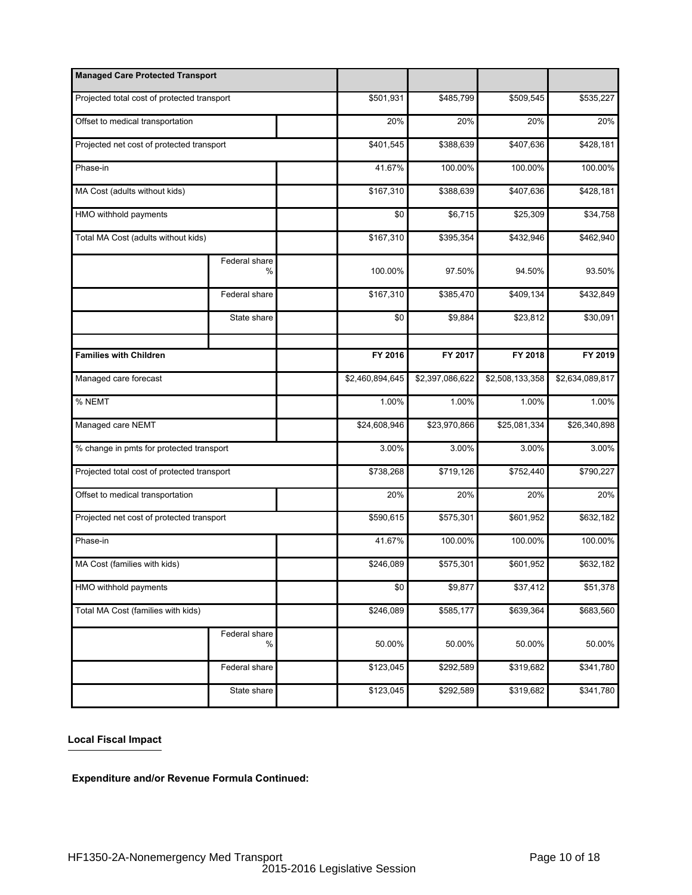| <b>Managed Care Protected Transport</b>     |                       |                 |                 |                 |                 |
|---------------------------------------------|-----------------------|-----------------|-----------------|-----------------|-----------------|
| Projected total cost of protected transport |                       | \$501,931       | \$485,799       | \$509,545       | \$535,227       |
| Offset to medical transportation            |                       | 20%             | 20%             | 20%             | 20%             |
| Projected net cost of protected transport   |                       | \$401,545       | \$388,639       | \$407,636       | \$428,181       |
| Phase-in                                    |                       | 41.67%          | 100.00%         | 100.00%         | 100.00%         |
| MA Cost (adults without kids)               |                       | \$167,310       | \$388,639       | \$407,636       | \$428,181       |
| HMO withhold payments                       |                       | \$0             | \$6,715         | \$25,309        | \$34,758        |
| Total MA Cost (adults without kids)         |                       | \$167,310       | \$395,354       | \$432,946       | \$462,940       |
|                                             | Federal share<br>$\%$ | 100.00%         | 97.50%          | 94.50%          | 93.50%          |
|                                             | Federal share         | \$167,310       | \$385,470       | \$409,134       | \$432,849       |
|                                             | State share           | \$0             | \$9,884         | \$23,812        | \$30,091        |
|                                             |                       |                 |                 |                 |                 |
| <b>Families with Children</b>               |                       | FY 2016         | FY 2017         | FY 2018         | FY 2019         |
| Managed care forecast                       |                       | \$2,460,894,645 | \$2,397,086,622 | \$2,508,133,358 | \$2,634,089,817 |
| % NEMT                                      |                       | 1.00%           | 1.00%           | 1.00%           | 1.00%           |
| Managed care NEMT                           |                       | \$24,608,946    | \$23,970,866    | \$25,081,334    | \$26,340,898    |
| % change in pmts for protected transport    |                       | 3.00%           | 3.00%           | 3.00%           | 3.00%           |
| Projected total cost of protected transport |                       | \$738,268       | \$719,126       | \$752,440       | \$790,227       |
| Offset to medical transportation            |                       | 20%             | 20%             | 20%             | 20%             |
| Projected net cost of protected transport   |                       | \$590,615       | \$575,301       | \$601,952       | \$632,182       |
| Phase-in                                    |                       | 41.67%          | 100.00%         | 100.00%         | 100.00%         |
| MA Cost (families with kids)                |                       | \$246,089       | \$575,301       | \$601,952       | \$632,182       |
| HMO withhold payments                       |                       | \$0             | \$9,877         | \$37,412        | \$51,378        |
| Total MA Cost (families with kids)          |                       | \$246,089       | \$585,177       | \$639,364       | \$683,560       |
|                                             | Federal share<br>$\%$ | 50.00%          | 50.00%          | 50.00%          | 50.00%          |
|                                             | Federal share         | \$123,045       | \$292,589       | \$319,682       | \$341,780       |
|                                             | State share           | \$123,045       | \$292,589       | \$319,682       | \$341,780       |

## **Local Fiscal Impact**

**Expenditure and/or Revenue Formula Continued:**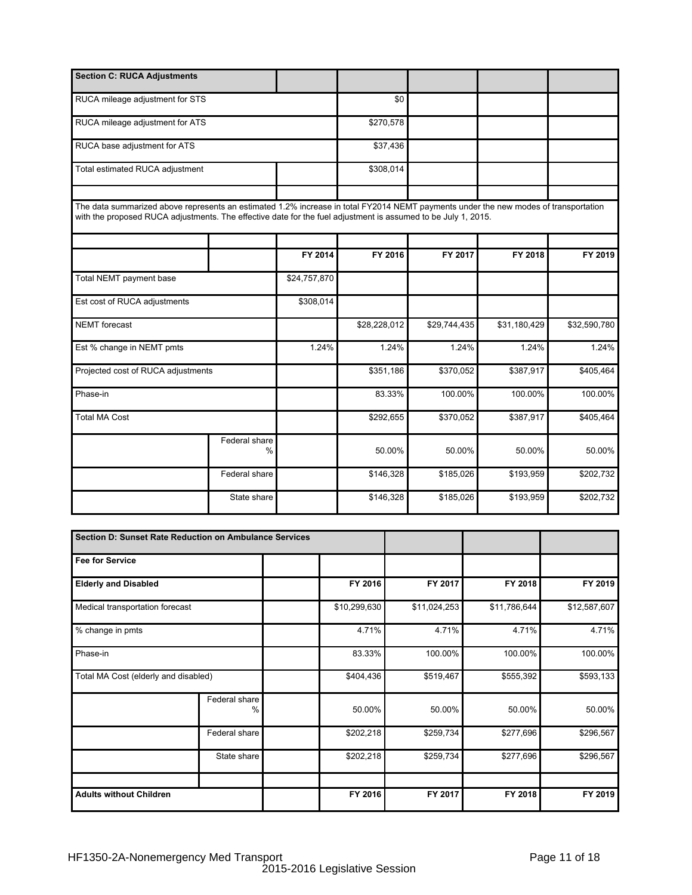| <b>Section C: RUCA Adjustments</b>                                                                                                                                                                                                                   |                                |              |              |              |              |              |
|------------------------------------------------------------------------------------------------------------------------------------------------------------------------------------------------------------------------------------------------------|--------------------------------|--------------|--------------|--------------|--------------|--------------|
| RUCA mileage adjustment for STS                                                                                                                                                                                                                      |                                |              | \$0          |              |              |              |
| RUCA mileage adjustment for ATS                                                                                                                                                                                                                      |                                |              | \$270,578    |              |              |              |
| RUCA base adjustment for ATS                                                                                                                                                                                                                         |                                |              | \$37,436     |              |              |              |
| Total estimated RUCA adjustment                                                                                                                                                                                                                      |                                |              |              |              |              |              |
| The data summarized above represents an estimated 1.2% increase in total FY2014 NEMT payments under the new modes of transportation<br>with the proposed RUCA adjustments. The effective date for the fuel adjustment is assumed to be July 1, 2015. |                                |              |              |              |              |              |
|                                                                                                                                                                                                                                                      |                                | FY 2014      | FY 2016      | FY 2017      | FY 2018      | FY 2019      |
| Total NEMT payment base                                                                                                                                                                                                                              |                                | \$24,757,870 |              |              |              |              |
| Est cost of RUCA adjustments                                                                                                                                                                                                                         |                                | \$308,014    |              |              |              |              |
| <b>NEMT</b> forecast                                                                                                                                                                                                                                 |                                |              | \$28,228,012 | \$29,744,435 | \$31,180,429 | \$32,590,780 |
| Est % change in NEMT pmts                                                                                                                                                                                                                            |                                | 1.24%        | 1.24%        | 1.24%        | 1.24%        | 1.24%        |
| Projected cost of RUCA adjustments                                                                                                                                                                                                                   |                                |              | \$351,186    | \$370,052    | \$387,917    | \$405,464    |
| Phase-in                                                                                                                                                                                                                                             |                                |              | 83.33%       | 100.00%      | 100.00%      | 100.00%      |
| <b>Total MA Cost</b>                                                                                                                                                                                                                                 |                                |              | \$292,655    | \$370,052    | \$387,917    | \$405,464    |
|                                                                                                                                                                                                                                                      | Federal share<br>$\frac{0}{0}$ |              | 50.00%       | 50.00%       | 50.00%       | 50.00%       |
|                                                                                                                                                                                                                                                      | Federal share                  |              | \$146,328    | \$185,026    | \$193,959    | \$202,732    |
|                                                                                                                                                                                                                                                      | State share                    |              | \$146,328    | \$185,026    | \$193,959    | \$202,732    |
|                                                                                                                                                                                                                                                      |                                |              |              |              |              |              |

| Section D: Sunset Rate Reduction on Ambulance Services |                    |              |              |              |              |
|--------------------------------------------------------|--------------------|--------------|--------------|--------------|--------------|
| <b>Fee for Service</b>                                 |                    |              |              |              |              |
| <b>Elderly and Disabled</b>                            |                    | FY 2016      | FY 2017      | FY 2018      | FY 2019      |
| Medical transportation forecast                        |                    | \$10,299,630 | \$11,024,253 | \$11,786,644 | \$12,587,607 |
| % change in pmts                                       |                    | 4.71%        | 4.71%        | 4.71%        | 4.71%        |
| Phase-in                                               |                    | 83.33%       | 100.00%      | 100.00%      | 100.00%      |
| Total MA Cost (elderly and disabled)                   |                    | \$404,436    | \$519,467    | \$555,392    | \$593,133    |
|                                                        | Federal share<br>% | 50.00%       | 50.00%       | 50.00%       | 50.00%       |
|                                                        | Federal share      | \$202,218    | \$259,734    | \$277,696    | \$296,567    |
|                                                        | State share        | \$202,218    | \$259,734    | \$277,696    | \$296,567    |
|                                                        |                    |              |              |              |              |
| <b>Adults without Children</b>                         |                    | FY 2016      | FY 2017      | FY 2018      | FY 2019      |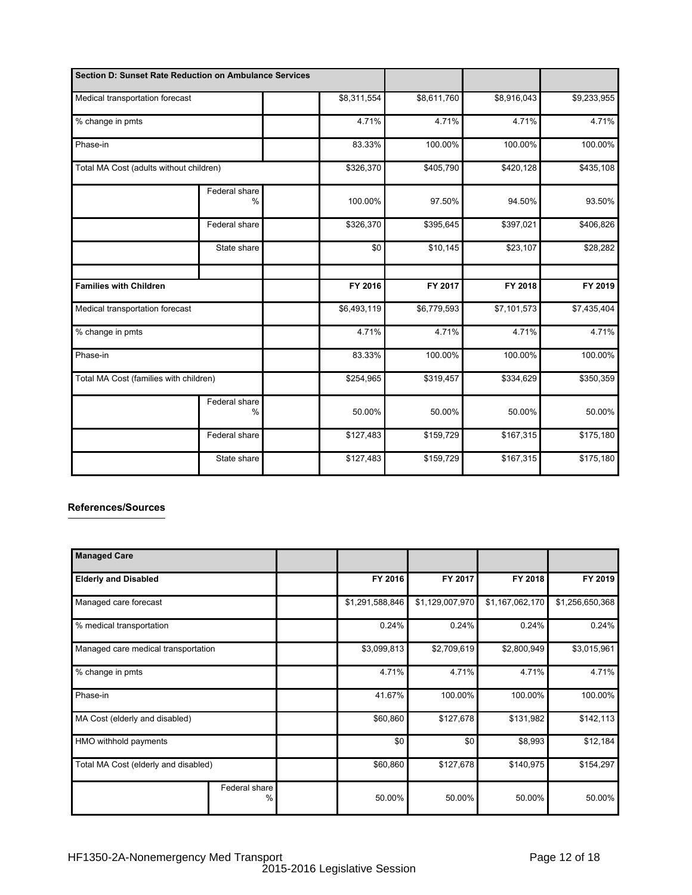| Section D: Sunset Rate Reduction on Ambulance Services |                                |             |             |                         |             |
|--------------------------------------------------------|--------------------------------|-------------|-------------|-------------------------|-------------|
| Medical transportation forecast<br>% change in pmts    |                                | \$8,311,554 | \$8,611,760 | $\overline{$8,916,043}$ | \$9,233,955 |
|                                                        |                                | 4.71%       | 4.71%       | 4.71%                   | 4.71%       |
| Phase-in                                               |                                | 83.33%      | 100.00%     | 100.00%                 | 100.00%     |
| Total MA Cost (adults without children)                |                                | \$326,370   | \$405,790   | \$420,128               | \$435,108   |
|                                                        | Federal share<br>$\frac{0}{0}$ | 100.00%     | 97.50%      | 94.50%                  | 93.50%      |
|                                                        | Federal share                  | \$326,370   | \$395,645   | \$397,021               | \$406,826   |
|                                                        | State share                    | \$0         | \$10,145    | \$23,107                | \$28,282    |
|                                                        |                                |             |             |                         |             |
| <b>Families with Children</b>                          |                                | FY 2016     | FY 2017     | FY 2018                 | FY 2019     |
| Medical transportation forecast                        |                                | \$6,493,119 | \$6,779,593 | \$7,101,573             | \$7,435,404 |
| % change in pmts                                       |                                | 4.71%       | 4.71%       | 4.71%                   | 4.71%       |
| Phase-in                                               |                                | 83.33%      | 100.00%     | 100.00%                 | 100.00%     |
| Total MA Cost (families with children)                 |                                | \$254,965   | \$319,457   | \$334,629               | \$350,359   |
|                                                        | Federal share<br>$\%$          | 50.00%      | 50.00%      | 50.00%                  | 50.00%      |
|                                                        | Federal share                  | \$127,483   | \$159,729   | \$167,315               | \$175,180   |
|                                                        | State share                    | \$127,483   | \$159,729   | \$167,315               | \$175,180   |

## **References/Sources**

| <b>Managed Care</b>                  |                       |                 |                 |                 |                 |
|--------------------------------------|-----------------------|-----------------|-----------------|-----------------|-----------------|
| <b>Elderly and Disabled</b>          |                       | FY 2016         | FY 2017         | FY 2018         | FY 2019         |
| Managed care forecast                |                       | \$1,291,588,846 | \$1,129,007,970 | \$1,167,062,170 | \$1,256,650,368 |
| % medical transportation             |                       | 0.24%           | 0.24%           | 0.24%           | 0.24%           |
| Managed care medical transportation  |                       | \$3,099,813     | \$2,709,619     | \$2,800,949     | \$3,015,961     |
| % change in pmts                     |                       | 4.71%           | 4.71%           | 4.71%           | 4.71%           |
| Phase-in                             |                       | 41.67%          | 100.00%         | 100.00%         | 100.00%         |
| MA Cost (elderly and disabled)       |                       | \$60,860        | \$127,678       | \$131,982       | \$142,113       |
| HMO withhold payments                |                       | \$0             | \$0             | \$8,993         | \$12,184        |
| Total MA Cost (elderly and disabled) |                       | \$60,860        | \$127,678       | \$140,975       | \$154,297       |
|                                      | Federal share<br>$\%$ | 50.00%          | 50.00%          | 50.00%          | 50.00%          |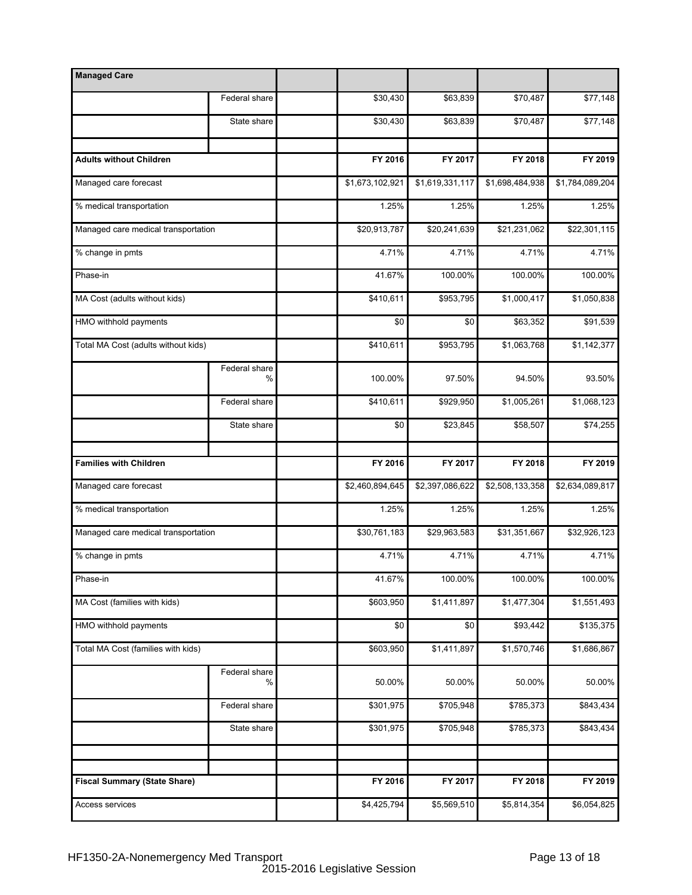| <b>Managed Care</b>                 |                    |                          |                        |                        |                        |
|-------------------------------------|--------------------|--------------------------|------------------------|------------------------|------------------------|
|                                     | Federal share      | \$30,430                 | \$63,839               | \$70,487               | \$77,148               |
|                                     | State share        | \$30,430                 | \$63,839               | \$70,487               | \$77,148               |
|                                     |                    |                          |                        |                        |                        |
| <b>Adults without Children</b>      |                    | FY 2016                  | FY 2017                | FY 2018                | FY 2019                |
| Managed care forecast               |                    | \$1,673,102,921          | \$1,619,331,117        | \$1,698,484,938        | \$1,784,089,204        |
| % medical transportation            |                    | 1.25%                    | 1.25%                  | 1.25%                  | 1.25%                  |
| Managed care medical transportation |                    | $\overline{$20,913,787}$ | \$20,241,639           | \$21,231,062           | \$22,301,115           |
| % change in pmts                    |                    | 4.71%                    | 4.71%                  | 4.71%                  | 4.71%                  |
| Phase-in                            |                    | 41.67%                   | 100.00%                | 100.00%                | 100.00%                |
| MA Cost (adults without kids)       |                    | \$410,611                | \$953,795              | \$1,000,417            | \$1,050,838            |
| HMO withhold payments               |                    | \$0                      | \$0                    | \$63,352               | \$91,539               |
| Total MA Cost (adults without kids) |                    | \$410,611                | \$953,795              | \$1,063,768            | \$1,142,377            |
|                                     | Federal share<br>% | 100.00%                  | 97.50%                 | 94.50%                 | 93.50%                 |
|                                     | Federal share      | \$410,611                | \$929,950              | \$1,005,261            | \$1,068,123            |
|                                     | State share        | \$0                      | \$23,845               | \$58,507               | \$74,255               |
|                                     |                    |                          |                        |                        |                        |
| <b>Families with Children</b>       |                    | FY 2016                  | FY 2017                | FY 2018                | FY 2019                |
| Managed care forecast               |                    | \$2,460,894,645          | \$2,397,086,622        | \$2,508,133,358        | \$2,634,089,817        |
| % medical transportation            |                    | 1.25%                    | 1.25%                  | 1.25%                  | 1.25%                  |
| Managed care medical transportation |                    | \$30,761,183             | \$29,963,583           | \$31,351,667           | \$32,926,123           |
| % change in pmts                    |                    | 4.71%                    | 4.71%                  | 4.71%                  | 4.71%                  |
| Phase-in                            |                    | 41.67%                   | 100.00%                | 100.00%                | 100.00%                |
| MA Cost (families with kids)        |                    | \$603,950                | \$1,411,897            | \$1,477,304            | \$1,551,493            |
| HMO withhold payments               |                    | \$0                      | \$0                    | \$93,442               | \$135,375              |
| Total MA Cost (families with kids)  |                    | \$603,950                | \$1,411,897            | \$1,570,746            | \$1,686,867            |
|                                     | Federal share<br>% | 50.00%                   | 50.00%                 | 50.00%                 | 50.00%                 |
|                                     | Federal share      | \$301,975                | \$705,948              | \$785,373              | \$843,434              |
|                                     | State share        | \$301,975                | \$705,948              | \$785,373              | \$843,434              |
|                                     |                    |                          |                        |                        |                        |
|                                     |                    |                          |                        |                        |                        |
| <b>Fiscal Summary (State Share)</b> |                    | FY 2016<br>\$4,425,794   | FY 2017<br>\$5,569,510 | FY 2018<br>\$5,814,354 | FY 2019<br>\$6,054,825 |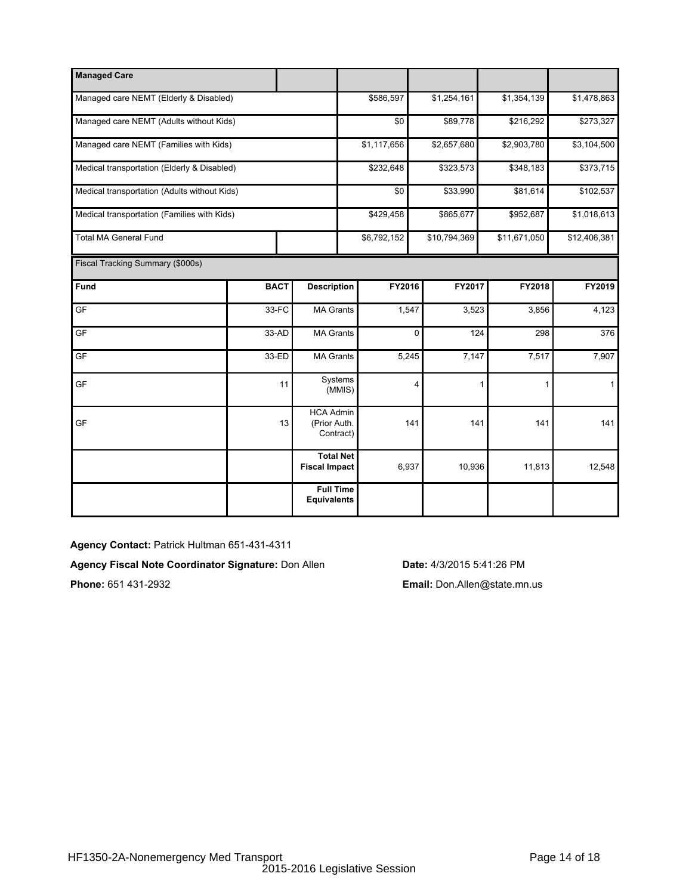| <b>Managed Care</b>                          |             |                                               |             |              |          |              |              |
|----------------------------------------------|-------------|-----------------------------------------------|-------------|--------------|----------|--------------|--------------|
| Managed care NEMT (Elderly & Disabled)       |             |                                               | \$586,597   | \$1,254,161  |          | \$1,354,139  | \$1,478,863  |
| Managed care NEMT (Adults without Kids)      |             |                                               | \$0         |              | \$89,778 | \$216,292    | \$273,327    |
| Managed care NEMT (Families with Kids)       |             |                                               | \$1,117,656 | \$2,657,680  |          | \$2,903,780  | \$3,104,500  |
| Medical transportation (Elderly & Disabled)  |             |                                               | \$232,648   | \$323,573    |          | \$348,183    | \$373,715    |
| Medical transportation (Adults without Kids) |             |                                               | \$0         |              | \$33,990 | \$81,614     | \$102,537    |
| Medical transportation (Families with Kids)  |             |                                               | \$429,458   | \$865,677    |          | \$952,687    | \$1,018,613  |
| <b>Total MA General Fund</b>                 |             |                                               | \$6,792,152 | \$10,794,369 |          | \$11,671,050 | \$12,406,381 |
| Fiscal Tracking Summary (\$000s)             |             |                                               |             |              |          |              |              |
| Fund                                         | <b>BACT</b> | <b>Description</b>                            | FY2016      |              | FY2017   | FY2018       | FY2019       |
| GF                                           | 33-FC       | <b>MA Grants</b>                              |             | 1,547        | 3,523    | 3,856        | 4,123        |
| GF                                           | 33-AD       | <b>MA Grants</b>                              |             | 0            | 124      | 298          | 376          |
| GF                                           | 33-ED       | <b>MA Grants</b>                              |             | 5,245        | 7,147    | 7,517        | 7,907        |
| GF                                           | 11          | Systems<br>(MMIS)                             |             | 4            | 1        | 1            | $\mathbf{1}$ |
| GF                                           | 13          | <b>HCA Admin</b><br>(Prior Auth.<br>Contract) |             | 141          | 141      | 141          | 141          |
|                                              |             | <b>Total Net</b><br><b>Fiscal Impact</b>      |             | 6,937        | 10,936   | 11,813       | 12,548       |
|                                              |             | <b>Full Time</b><br><b>Equivalents</b>        |             |              |          |              |              |

**Agency Contact:** Patrick Hultman 651-431-4311

**Agency Fiscal Note Coordinator Signature:** Don Allen **Date:** 4/3/2015 5:41:26 PM

**Phone:** 651 431-2932 **Email:** Don.Allen@state.mn.us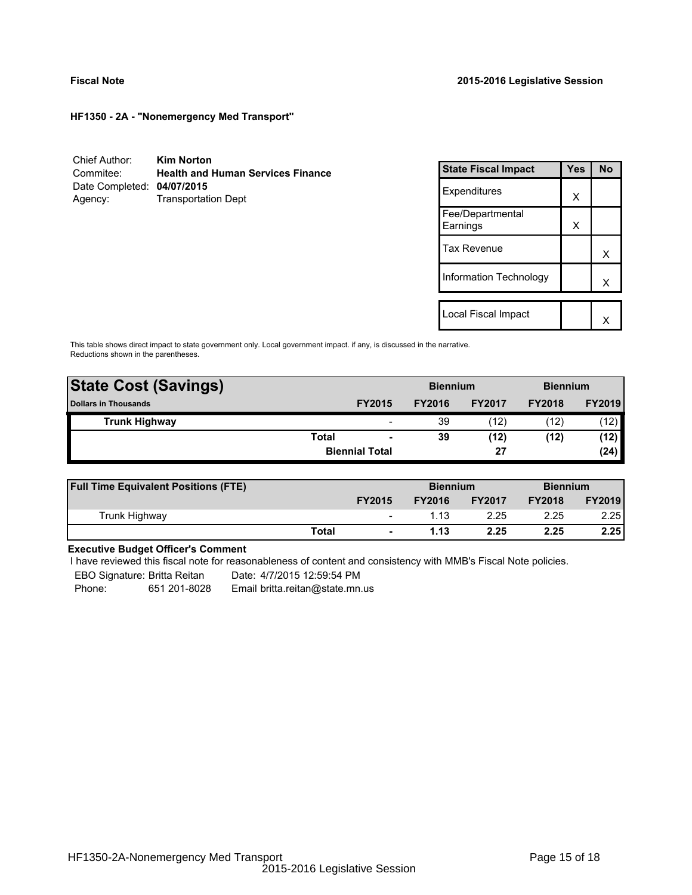**HF1350 - 2A - "Nonemergency Med Transport"**

| Chief Author:              | <b>Kim Norton</b>                        |
|----------------------------|------------------------------------------|
| Commitee:                  | <b>Health and Human Services Finance</b> |
| Date Completed: 04/07/2015 |                                          |
| Agency:                    | <b>Transportation Dept</b>               |

| <b>State Fiscal Impact</b>   | Yes | <b>No</b> |
|------------------------------|-----|-----------|
| Expenditures                 | X   |           |
| Fee/Departmental<br>Earnings | X   |           |
| <b>Tax Revenue</b>           |     | x         |
| Information Technology       |     | x         |
| Local Fiscal Impact          |     |           |
|                              |     |           |

This table shows direct impact to state government only. Local government impact. if any, is discussed in the narrative. Reductions shown in the parentheses.

| <b>State Cost (Savings)</b> |              | <b>Biennium</b>          |               |               | <b>Biennium</b> |               |
|-----------------------------|--------------|--------------------------|---------------|---------------|-----------------|---------------|
| <b>Dollars in Thousands</b> |              | <b>FY2015</b>            | <b>FY2016</b> | <b>FY2017</b> | <b>FY2018</b>   | <b>FY2019</b> |
| <b>Trunk Highway</b>        |              | $\overline{\phantom{0}}$ | 39            | (12)          | (12)            | (12)          |
|                             | <b>Total</b> | $\overline{\phantom{a}}$ | 39            | (12)          | (12)            | (12)          |
|                             |              | <b>Biennial Total</b>    |               | 27            |                 | (24)          |
|                             |              |                          |               |               |                 |               |

| <b>Full Time Equivalent Positions (FTE)</b> |       |                          | <b>Biennium</b> |               | <b>Biennium</b> |               |
|---------------------------------------------|-------|--------------------------|-----------------|---------------|-----------------|---------------|
|                                             |       | <b>FY2015</b>            | <b>FY2016</b>   | <b>FY2017</b> | <b>FY2018</b>   | <b>FY2019</b> |
| Trunk Highway                               |       | $\overline{\phantom{a}}$ | 1.13            | 2.25          | 2.25            | 2.25          |
|                                             | Total | $\blacksquare$           | 1.13            | 2.25          | 2.25            | 2.25          |

## **Executive Budget Officer's Comment**

I have reviewed this fiscal note for reasonableness of content and consistency with MMB's Fiscal Note policies.

EBO Signature: Britta Reitan ---- Date: 4/7/2015 12:59:54 PM

Phone: 651 201-8028 Email britta.reitan@state.mn.us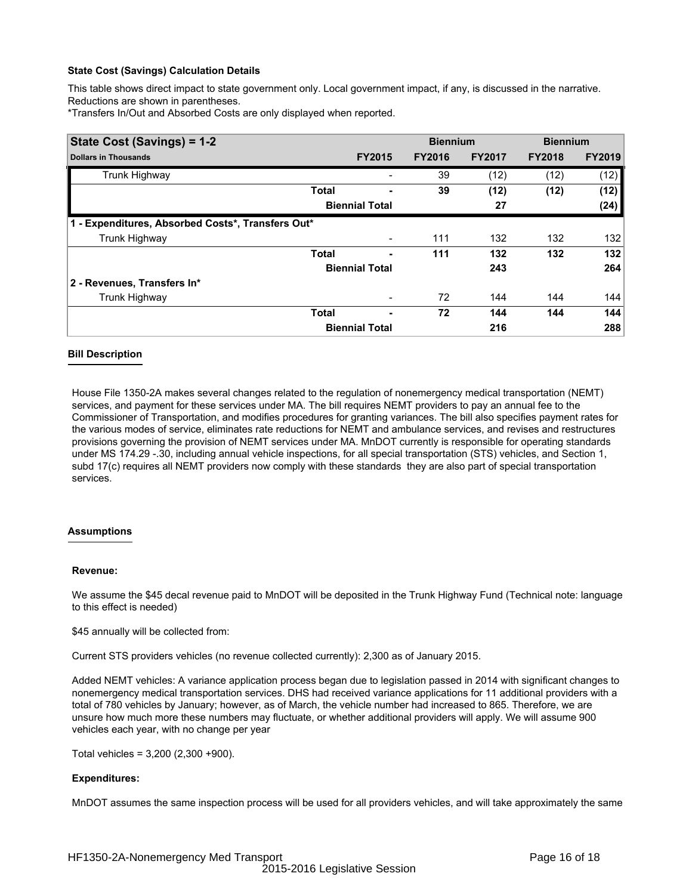## **State Cost (Savings) Calculation Details**

This table shows direct impact to state government only. Local government impact, if any, is discussed in the narrative. Reductions are shown in parentheses.

\*Transfers In/Out and Absorbed Costs are only displayed when reported.

| State Cost (Savings) = 1-2                        |              |                          | <b>Biennium</b> |               | <b>Biennium</b> |               |
|---------------------------------------------------|--------------|--------------------------|-----------------|---------------|-----------------|---------------|
| <b>Dollars in Thousands</b>                       |              | <b>FY2015</b>            | <b>FY2016</b>   | <b>FY2017</b> | <b>FY2018</b>   | <b>FY2019</b> |
| Trunk Highway                                     |              |                          | 39              | (12)          | (12)            | (12)          |
|                                                   | <b>Total</b> |                          | 39              | (12)          | (12)            | (12)          |
|                                                   |              | <b>Biennial Total</b>    |                 | 27            |                 | (24)          |
| 1 - Expenditures, Absorbed Costs*, Transfers Out* |              |                          |                 |               |                 |               |
| Trunk Highway                                     |              |                          | 111             | 132           | 132             | 132           |
|                                                   | <b>Total</b> |                          | 111             | 132           | 132             | 132           |
|                                                   |              | <b>Biennial Total</b>    |                 | 243           |                 | 264           |
| 2 - Revenues, Transfers In*                       |              |                          |                 |               |                 |               |
| Trunk Highway                                     |              | $\overline{\phantom{a}}$ | 72              | 144           | 144             | 144           |
|                                                   | <b>Total</b> |                          | 72              | 144           | 144             | 144           |
|                                                   |              | <b>Biennial Total</b>    |                 | 216           |                 | 288           |

## **Bill Description**

House File 1350-2A makes several changes related to the regulation of nonemergency medical transportation (NEMT) services, and payment for these services under MA. The bill requires NEMT providers to pay an annual fee to the Commissioner of Transportation, and modifies procedures for granting variances. The bill also specifies payment rates for the various modes of service, eliminates rate reductions for NEMT and ambulance services, and revises and restructures provisions governing the provision of NEMT services under MA. MnDOT currently is responsible for operating standards under MS 174.29 -.30, including annual vehicle inspections, for all special transportation (STS) vehicles, and Section 1, subd 17(c) requires all NEMT providers now comply with these standards they are also part of special transportation services.

## **Assumptions**

## **Revenue:**

We assume the \$45 decal revenue paid to MnDOT will be deposited in the Trunk Highway Fund (Technical note: language to this effect is needed)

\$45 annually will be collected from:

Current STS providers vehicles (no revenue collected currently): 2,300 as of January 2015.

Added NEMT vehicles: A variance application process began due to legislation passed in 2014 with significant changes to nonemergency medical transportation services. DHS had received variance applications for 11 additional providers with a total of 780 vehicles by January; however, as of March, the vehicle number had increased to 865. Therefore, we are unsure how much more these numbers may fluctuate, or whether additional providers will apply. We will assume 900 vehicles each year, with no change per year

Total vehicles = 3,200 (2,300 +900).

## **Expenditures:**

MnDOT assumes the same inspection process will be used for all providers vehicles, and will take approximately the same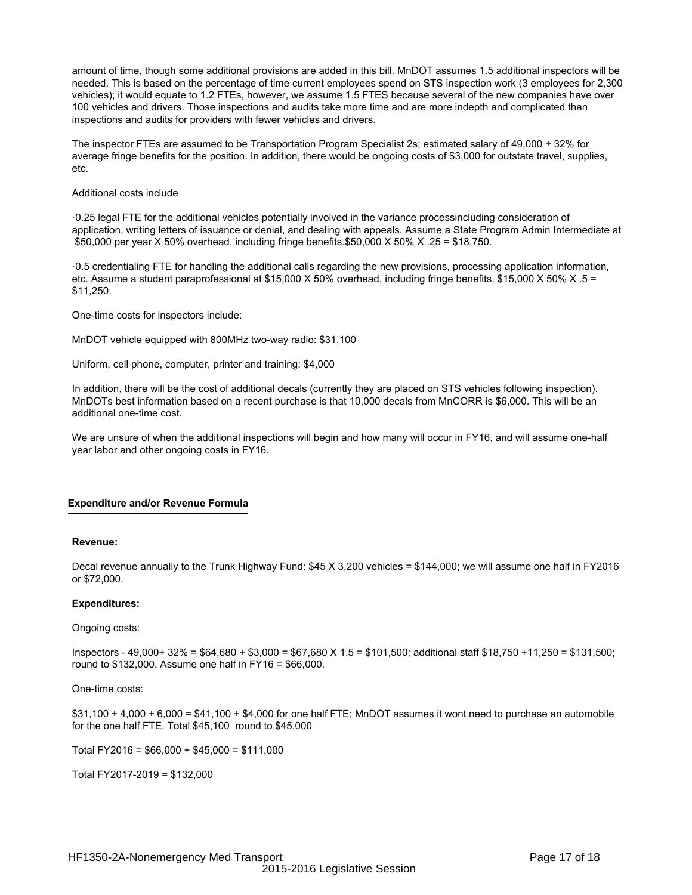amount of time, though some additional provisions are added in this bill. MnDOT assumes 1.5 additional inspectors will be needed. This is based on the percentage of time current employees spend on STS inspection work (3 employees for 2,300 vehicles); it would equate to 1.2 FTEs, however, we assume 1.5 FTES because several of the new companies have over 100 vehicles and drivers. Those inspections and audits take more time and are more indepth and complicated than inspections and audits for providers with fewer vehicles and drivers.

The inspector FTEs are assumed to be Transportation Program Specialist 2s; estimated salary of 49,000 + 32% for average fringe benefits for the position. In addition, there would be ongoing costs of \$3,000 for outstate travel, supplies, etc.

#### Additional costs include

·0.25 legal FTE for the additional vehicles potentially involved in the variance processincluding consideration of application, writing letters of issuance or denial, and dealing with appeals. Assume a State Program Admin Intermediate at \$50,000 per year X 50% overhead, including fringe benefits.\$50,000 X 50% X .25 = \$18,750.

·0.5 credentialing FTE for handling the additional calls regarding the new provisions, processing application information, etc. Assume a student paraprofessional at \$15,000 X 50% overhead, including fringe benefits. \$15,000 X 50% X .5 = \$11,250.

One-time costs for inspectors include:

MnDOT vehicle equipped with 800MHz two-way radio: \$31,100

Uniform, cell phone, computer, printer and training: \$4,000

In addition, there will be the cost of additional decals (currently they are placed on STS vehicles following inspection). MnDOTs best information based on a recent purchase is that 10,000 decals from MnCORR is \$6,000. This will be an additional one-time cost.

We are unsure of when the additional inspections will begin and how many will occur in FY16, and will assume one-half year labor and other ongoing costs in FY16.

## **Expenditure and/or Revenue Formula**

#### **Revenue:**

Decal revenue annually to the Trunk Highway Fund: \$45 X 3,200 vehicles = \$144,000; we will assume one half in FY2016 or \$72,000.

## **Expenditures:**

## Ongoing costs:

Inspectors - 49,000+ 32% = \$64,680 + \$3,000 = \$67,680 X 1.5 = \$101,500; additional staff \$18,750 +11,250 = \$131,500; round to \$132,000. Assume one half in FY16 = \$66,000.

One-time costs:

\$31,100 + 4,000 + 6,000 = \$41,100 + \$4,000 for one half FTE; MnDOT assumes it wont need to purchase an automobile for the one half FTE. Total \$45,100 round to \$45,000

Total FY2016 = \$66,000 + \$45,000 = \$111,000

Total FY2017-2019 = \$132,000